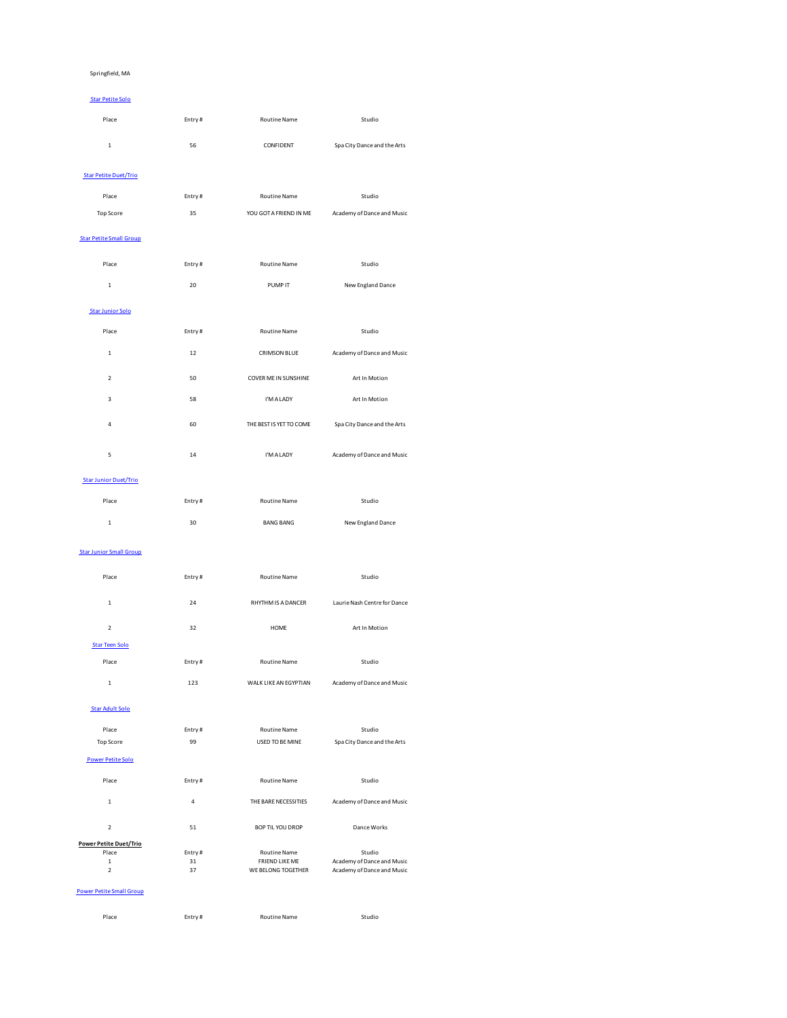### Springfield, MA

| <b>Star Petite Solo</b>      |        |                     |                             |
|------------------------------|--------|---------------------|-----------------------------|
| Place                        | Entry# | <b>Routine Name</b> | Studio                      |
| 1                            | 56     | CONFIDENT           | Spa City Dance and the Arts |
| <b>Star Petite Duet/Trio</b> |        |                     |                             |

| Place     | Entry# | Routine Name           | Studio                     |
|-----------|--------|------------------------|----------------------------|
| Top Score | 35     | YOU GOT A FRIEND IN ME | Academy of Dance and Music |
|           |        |                        |                            |

## Star Petite Small Group

| Place                   | Entry# | <b>Routine Name</b>         | Studio                      |
|-------------------------|--------|-----------------------------|-----------------------------|
| $\mathbf 1$             | 20     | PUMP IT                     | New England Dance           |
| <b>Star Junior Solo</b> |        |                             |                             |
| Place                   | Entry# | Routine Name                | Studio                      |
| $\mathbf{1}$            | 12     | <b>CRIMSON BLUE</b>         | Academy of Dance and Music  |
| $\mathbf 2$             | 50     | <b>COVER ME IN SUNSHINE</b> | Art In Motion               |
| $\overline{\mathbf{3}}$ | 58     | I'M A LADY                  | Art In Motion               |
| $\overline{4}$          | 60     | THE BEST IS YET TO COME     | Spa City Dance and the Arts |
| 5                       | 14     | I'M A LADY                  | Academy of Dance and Music  |

# Star Junior Duet/Trio

| Place | Entry# | <b>Routine Name</b> | Studio            |  |
|-------|--------|---------------------|-------------------|--|
|       | 30     | <b>BANG BANG</b>    | New England Dance |  |

### Star Junior Small Group

| Place                 | Entry# | Routine Name          | Studio                       |
|-----------------------|--------|-----------------------|------------------------------|
| $\mathbf{1}$          | 24     | RHYTHM IS A DANCER    | Laurie Nash Centre for Dance |
| $\overline{2}$        | 32     | <b>HOME</b>           | Art In Motion                |
| <b>Star Teen Solo</b> |        |                       |                              |
| Place                 | Entry# | <b>Routine Name</b>   | Studio                       |
| $\mathbf{1}$          | 123    | WALK LIKE AN EGYPTIAN | Academy of Dance and Music   |

## Star Adult Solo

| Place                         | Entry# | <b>Routine Name</b>   | Studio                      |
|-------------------------------|--------|-----------------------|-----------------------------|
| <b>Top Score</b>              | 99     | USED TO BE MINE       | Spa City Dance and the Arts |
| <b>Power Petite Solo</b>      |        |                       |                             |
| Place                         | Entry# | <b>Routine Name</b>   | Studio                      |
| $\mathbf{1}$                  | 4      | THE BARE NECESSITIES  | Academy of Dance and Music  |
| $\overline{2}$                | 51     | BOP TIL YOU DROP      | Dance Works                 |
| <b>Power Petite Duet/Trio</b> |        |                       |                             |
| Place                         | Entry# | <b>Routine Name</b>   | Studio                      |
| $\mathbf{1}$                  | 31     | <b>FRIEND LIKE ME</b> | Academy of Dance and Music  |
| $\overline{2}$                | 37     | WE BELONG TOGETHER    | Academy of Dance and Music  |

| Place<br>. | Entry# | Routine Name | Studio<br>. |  |
|------------|--------|--------------|-------------|--|
|            |        |              |             |  |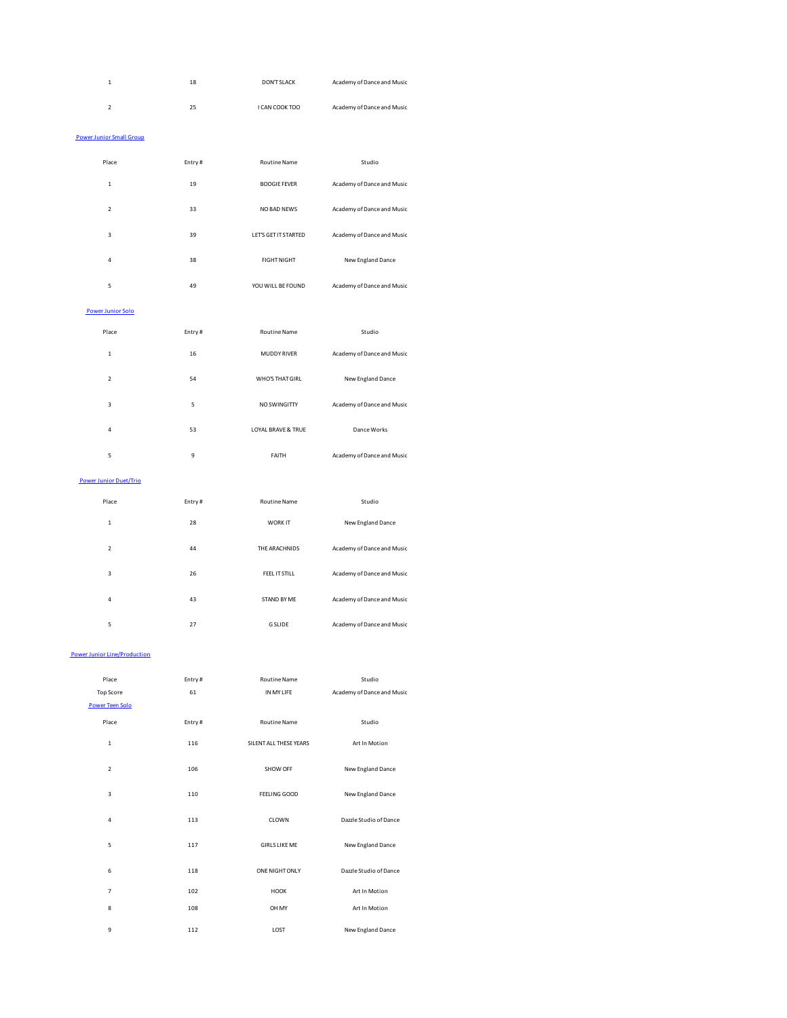| $\mathbf 1$                         | 18     | <b>DON'T SLACK</b>   | Academy of Dance and Music |
|-------------------------------------|--------|----------------------|----------------------------|
| $\overline{\mathbf{c}}$             | 25     | I CAN COOK TOO       | Academy of Dance and Music |
| <b>Power Junior Small Group</b>     |        |                      |                            |
| Place                               | Entry# | Routine Name         | Studio                     |
| $\mathbf 1$                         | 19     | <b>BOOGIE FEVER</b>  | Academy of Dance and Music |
| $\overline{2}$                      | 33     | NO BAD NEWS          | Academy of Dance and Music |
| 3                                   | 39     | LET'S GET IT STARTED | Academy of Dance and Music |
| $\overline{4}$                      | 38     | <b>FIGHT NIGHT</b>   | New England Dance          |
| 5                                   | 49     | YOU WILL BE FOUND    | Academy of Dance and Music |
| <b>Power Junior Solo</b>            |        |                      |                            |
| Place                               | Entry# | Routine Name         | Studio                     |
| $\mathbf{1}$                        | 16     | MUDDY RIVER          | Academy of Dance and Music |
| $\overline{\mathbf{c}}$             | 54     | WHO'S THAT GIRL      | New England Dance          |
| 3                                   | 5      | NO SWINGITTY         | Academy of Dance and Music |
| $\overline{a}$                      | 53     | LOYAL BRAVE & TRUE   | Dance Works                |
| 5                                   | 9      | FAITH                | Academy of Dance and Music |
| Power Junior Duet/Trio              |        |                      |                            |
| Place                               | Entry# | Routine Name         | Studio                     |
| $\mathbf{1}$                        | 28     | WORK IT              | New England Dance          |
| $\mathbf 2$                         | 44     | THE ARACHNIDS        | Academy of Dance and Music |
| $\overline{3}$                      | 26     | FEEL IT STILL        | Academy of Dance and Music |
| $\overline{4}$                      | 43     | STAND BY ME          | Academy of Dance and Music |
| 5                                   | 27     | <b>G SLIDE</b>       | Academy of Dance and Music |
| <b>Power Junior Line/Production</b> |        |                      |                            |
| Place                               | Entry# | <b>Routine Name</b>  | Studio                     |
| <b>Top Score</b>                    | 61     | IN MY LIFE           | Academy of Dance and Music |
| Power Teen Solo                     |        |                      |                            |
| <b>Diaco</b>                        | Entnet | <b>Pouting Name</b>  | $c + \ldots + c$           |

| <b>Power Teen Solo</b>  |        |                        |                        |
|-------------------------|--------|------------------------|------------------------|
| Place                   | Entry# | <b>Routine Name</b>    | Studio                 |
| $\mathbf{1}$            | 116    | SILENT ALL THESE YEARS | Art In Motion          |
| $\overline{2}$          | 106    | SHOW OFF               | New England Dance      |
| $\overline{\mathbf{3}}$ | 110    | FEELING GOOD           | New England Dance      |
| 4                       | 113    | CLOWN                  | Dazzle Studio of Dance |
| 5                       | 117    | <b>GIRLS LIKE ME</b>   | New England Dance      |
| 6                       | 118    | ONE NIGHT ONLY         | Dazzle Studio of Dance |
| $\overline{7}$          | 102    | <b>HOOK</b>            | Art In Motion          |
| 8                       | 108    | OH MY                  | Art In Motion          |
| 9                       | 112    | LOST                   | New England Dance      |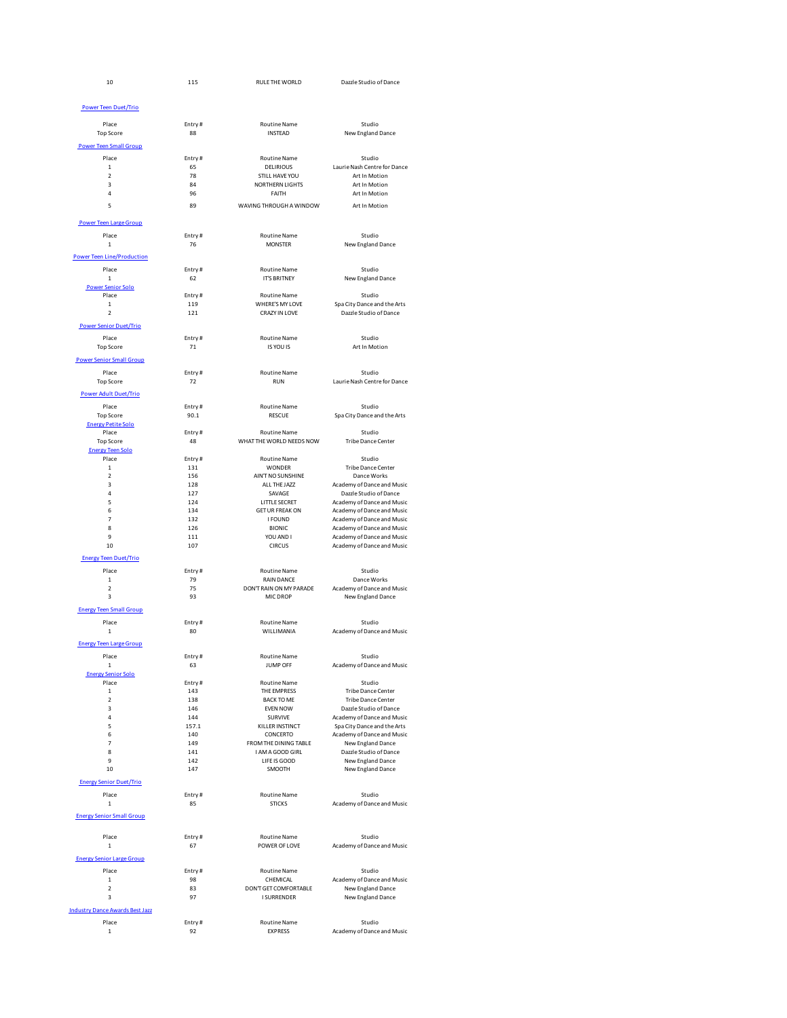| 10                                        | 115            | RULE THE WORLD                             | Dazzle Studio of Dance                                    |
|-------------------------------------------|----------------|--------------------------------------------|-----------------------------------------------------------|
| <b>Power Teen Duet/Trio</b>               |                |                                            |                                                           |
| Place                                     | Entry#         | <b>Routine Name</b>                        | Studio                                                    |
| <b>Top Score</b>                          | 88             | <b>INSTEAD</b>                             | New England Dance                                         |
| <b>Power Teen Small Group</b>             |                |                                            |                                                           |
| Place                                     | Entry#         | <b>Routine Name</b>                        | Studio                                                    |
| $\mathbf{1}$                              | 65             | <b>DELIBIOUS</b>                           | Laurie Nash Centre for Dance                              |
| $\overline{2}$<br>$\overline{\mathbf{3}}$ | 78<br>84       | STILL HAVE YOU                             | Art In Motion<br>Art In Motion                            |
| 4                                         | 96             | <b>NORTHERN LIGHTS</b><br>FAITH            | Art In Motion                                             |
| 5                                         | 89             | WAVING THROUGH A WINDOW                    | Art In Motion                                             |
|                                           |                |                                            |                                                           |
| <b>Power Teen Large Group</b>             |                |                                            |                                                           |
| Place                                     | Entry#         | <b>Routine Name</b>                        | Studio                                                    |
| $\mathbf 1$                               | 76             | <b>MONSTER</b>                             | New England Dance                                         |
| <b>Power Teen Line/Production</b>         |                |                                            |                                                           |
| Place<br>$\mathbf 1$                      | Entry#<br>62   | <b>Routine Name</b><br><b>IT'S BRITNEY</b> | Studio<br>New England Dance                               |
| <b>Power Senior Solo</b>                  |                |                                            |                                                           |
| Place                                     | Entry#         | <b>Routine Name</b>                        | Studio                                                    |
| $\mathbf 1$                               | 119            | WHERE'S MY LOVE                            | Spa City Dance and the Arts                               |
| $\overline{2}$                            | 121            | CRAZY IN LOVE                              | Dazzle Studio of Dance                                    |
| <b>Power Senior Duet/Trio</b>             |                |                                            |                                                           |
| Place                                     | Entry#         | <b>Routine Name</b><br>IS YOU IS           | Studio                                                    |
| <b>Top Score</b>                          | $71\,$         |                                            | Art In Motion                                             |
| <b>Power Senior Small Group</b>           |                |                                            |                                                           |
| Place                                     | Entry#<br>72   | <b>Routine Name</b><br><b>RUN</b>          | Studio<br>Laurie Nash Centre for Dance                    |
| Top Score                                 |                |                                            |                                                           |
| <b>Power Adult Duet/Trio</b>              |                |                                            |                                                           |
| Place<br><b>Top Score</b>                 | Entry#<br>90.1 | <b>Routine Name</b><br><b>RESCUE</b>       | Studio<br>Spa City Dance and the Arts                     |
| <b>Energy Petite Solo</b>                 |                |                                            |                                                           |
| Place                                     | Entry#         | <b>Routine Name</b>                        | Studio                                                    |
| Top Score<br><b>Energy Teen Solo</b>      | 48             | WHAT THE WORLD NEEDS NOW                   | Tribe Dance Center                                        |
| Place                                     | Entry#         | <b>Routine Name</b>                        | Studio                                                    |
| $\mathbf 1$                               | 131            | WONDER                                     | Tribe Dance Center                                        |
| $\overline{2}$<br>3                       | 156<br>128     | AIN'T NO SUNSHINE<br>ALL THE JAZZ          | Dance Works<br>Academy of Dance and Music                 |
| $\overline{4}$                            | 127            | SAVAGE                                     | Dazzle Studio of Dance                                    |
| 5                                         | 124            | LITTLE SECRET                              | Academy of Dance and Music                                |
| 6                                         | 134            | <b>GET UR FREAK ON</b>                     | Academy of Dance and Music                                |
| $\overline{7}$<br>8                       | 132<br>126     | <b>I FOUND</b><br><b>BIONIC</b>            | Academy of Dance and Music<br>Academy of Dance and Music  |
| 9                                         | 111            | YOU AND I                                  | Academy of Dance and Music                                |
| 10                                        | 107            | <b>CIRCUS</b>                              | Academy of Dance and Music                                |
| <b>Energy Teen Duet/Trio</b>              |                |                                            |                                                           |
| Place                                     | Entry#         | <b>Routine Name</b>                        | Studio                                                    |
| $\mathbf 1$<br>$\overline{2}$             | 79<br>75       | RAIN DANCE<br>DON'T RAIN ON MY PARADE      | Dance Works<br>Academy of Dance and Music                 |
| 3                                         | 93             | MIC DROP                                   | New England Dance                                         |
| <b>Energy Teen Small Group</b>            |                |                                            |                                                           |
| Place                                     | Entry#         | <b>Routine Name</b>                        | Studio                                                    |
| $\mathbf 1$                               | 80             | WILLIMANIA                                 | Academy of Dance and Music                                |
| <b>Energy Teen Large Group</b>            |                |                                            |                                                           |
| Place                                     | Entry#         | <b>Routine Name</b>                        | Studio                                                    |
| $\mathbf 1$                               | 63             | JUMP OFF                                   | Academy of Dance and Music                                |
| <b>Energy Senior Solo</b>                 |                |                                            |                                                           |
| Place<br>$\mathbf 1$                      | Entry#<br>143  | Routine Name<br>THE EMPRESS                | Studio<br>Tribe Dance Center                              |
| $\mathbf 2$                               | 138            | <b>BACK TO ME</b>                          | Tribe Dance Center                                        |
| 3                                         | 146            | <b>EVEN NOW</b>                            | Dazzle Studio of Dance                                    |
| 4<br>5                                    | 144<br>157.1   | SURVIVE<br>KILLER INSTINCT                 | Academy of Dance and Music<br>Spa City Dance and the Arts |
| 6                                         | 140            | CONCERTO                                   | Academy of Dance and Music                                |
| $\overline{7}$                            | 149            | FROM THE DINING TABLE                      | New England Dance                                         |
| 8<br>9                                    | 141<br>142     | I AM A GOOD GIRL<br>LIFE IS GOOD           | Dazzle Studio of Dance<br>New England Dance               |
| 10                                        | 147            | SMOOTH                                     | New England Dance                                         |
| <b>Energy Senior Duet/Trio</b>            |                |                                            |                                                           |
|                                           |                |                                            | Studio                                                    |
| Place<br>$\mathbf 1$                      | Entry#<br>85   | Routine Name<br><b>STICKS</b>              | Academy of Dance and Music                                |
| <b>Energy Senior Small Group</b>          |                |                                            |                                                           |
|                                           |                |                                            |                                                           |
| Place                                     | Entry#         | Routine Name                               | Studio                                                    |
| $\mathbf 1$                               | 67             | POWER OF LOVE                              | Academy of Dance and Music                                |
| <b>Energy Senior Large Group</b>          |                |                                            |                                                           |
| Place                                     | Entry#         | <b>Routine Name</b>                        | Studio                                                    |
| $\mathbf 1$                               | 98             | CHEMICAL                                   | Academy of Dance and Music                                |
| $\overline{2}$<br>3                       | 83<br>97       | DON'T GET COMFORTABLE                      | New England Dance                                         |
|                                           |                | <b>I SURRENDER</b>                         | New England Dance                                         |
| <b>Industry Dance Awards Best Jazz</b>    |                |                                            |                                                           |
| Place                                     | Entry#         | <b>Routine Name</b>                        | Studio                                                    |
| 1                                         | 92             | <b>EXPRESS</b>                             | Academy of Dance and Music                                |